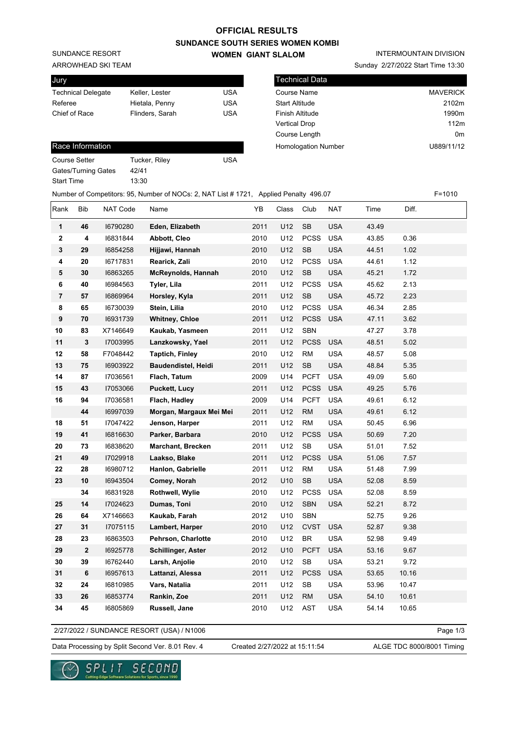### **SUNDANCE SOUTH SERIES WOMEN KOMBI WOMEN GIANT SLALOM OFFICIAL RESULTS**

SUNDANCE RESORT

ARROWHEAD SKI TEAM

| Jury                      |                 |     |
|---------------------------|-----------------|-----|
| <b>Technical Delegate</b> | Keller, Lester  | USA |
| Referee                   | Hietala, Penny  | USA |
| Chief of Race             | Flinders, Sarah | USA |

#### Race Information

| Tucker, Riley | USA |
|---------------|-----|
| 42/41         |     |
| 13:30         |     |
|               |     |

| <b>INTERMOUNTAIN DIVISION</b>            |  |
|------------------------------------------|--|
| $0.001$ $0.07000000$ $0.01$ $0.00000000$ |  |

Sunday 2/27/2022 Start Time 13:30

| l Technical Data           |                   |
|----------------------------|-------------------|
| Course Name                | <b>MAVERICK</b>   |
| <b>Start Altitude</b>      | 2102m             |
| <b>Finish Altitude</b>     | 1990 <sub>m</sub> |
| <b>Vertical Drop</b>       | 112m              |
| Course Length              | 0 <sub>m</sub>    |
| <b>Homologation Number</b> | U889/11/12        |

| Number of Competitors: 95, Number of NOCs: 2, NAT List #1721, Applied Penalty 496.07 |                  |          |                            |      |       |             |            | $F = 1010$ |       |  |
|--------------------------------------------------------------------------------------|------------------|----------|----------------------------|------|-------|-------------|------------|------------|-------|--|
| Rank                                                                                 | Bib              | NAT Code | Name                       | YB   | Class | Club        | NAT        | Time       | Diff. |  |
| $\mathbf{1}$                                                                         | 46               | 16790280 | Eden, Elizabeth            | 2011 | U12   | SB          | <b>USA</b> | 43.49      |       |  |
| $\mathbf 2$                                                                          | 4                | 16831844 | Abbott, Cleo               | 2010 | U12   | <b>PCSS</b> | <b>USA</b> | 43.85      | 0.36  |  |
| $\mathbf 3$                                                                          | 29               | 16854258 | Hijjawi, Hannah            | 2010 | U12   | <b>SB</b>   | <b>USA</b> | 44.51      | 1.02  |  |
| 4                                                                                    | 20               | 16717831 | Rearick, Zali              | 2010 | U12   | <b>PCSS</b> | <b>USA</b> | 44.61      | 1.12  |  |
| ${\bf 5}$                                                                            | 30               | 16863265 | <b>McReynolds, Hannah</b>  | 2010 | U12   | <b>SB</b>   | <b>USA</b> | 45.21      | 1.72  |  |
| 6                                                                                    | 40               | 16984563 | Tyler, Lila                | 2011 | U12   | <b>PCSS</b> | <b>USA</b> | 45.62      | 2.13  |  |
| $\overline{\mathbf{7}}$                                                              | 57               | 16869964 | Horsley, Kyla              | 2011 | U12   | SB          | <b>USA</b> | 45.72      | 2.23  |  |
| 8                                                                                    | 65               | 16730039 | Stein, Lilia               | 2010 | U12   | <b>PCSS</b> | <b>USA</b> | 46.34      | 2.85  |  |
| 9                                                                                    | 70               | 16931739 | <b>Whitney, Chloe</b>      | 2011 | U12   | <b>PCSS</b> | <b>USA</b> | 47.11      | 3.62  |  |
| 10                                                                                   | 83               | X7146649 | Kaukab, Yasmeen            | 2011 | U12   | <b>SBN</b>  |            | 47.27      | 3.78  |  |
| 11                                                                                   | 3                | 17003995 | Lanzkowsky, Yael           | 2011 | U12   | <b>PCSS</b> | <b>USA</b> | 48.51      | 5.02  |  |
| 12                                                                                   | 58               | F7048442 | <b>Taptich, Finley</b>     | 2010 | U12   | <b>RM</b>   | <b>USA</b> | 48.57      | 5.08  |  |
| 13                                                                                   | 75               | 16903922 | <b>Baudendistel, Heidi</b> | 2011 | U12   | <b>SB</b>   | <b>USA</b> | 48.84      | 5.35  |  |
| 14                                                                                   | 87               | 17036561 | Flach, Tatum               | 2009 | U14   | <b>PCFT</b> | <b>USA</b> | 49.09      | 5.60  |  |
| 15                                                                                   | 43               | 17053066 | Puckett, Lucy              | 2011 | U12   | <b>PCSS</b> | <b>USA</b> | 49.25      | 5.76  |  |
| 16                                                                                   | 94               | 17036581 | Flach, Hadley              | 2009 | U14   | <b>PCFT</b> | <b>USA</b> | 49.61      | 6.12  |  |
|                                                                                      | 44               | 16997039 | Morgan, Margaux Mei Mei    | 2011 | U12   | <b>RM</b>   | <b>USA</b> | 49.61      | 6.12  |  |
| 18                                                                                   | 51               | 17047422 | Jenson, Harper             | 2011 | U12   | <b>RM</b>   | <b>USA</b> | 50.45      | 6.96  |  |
| 19                                                                                   | 41               | 16816630 | Parker, Barbara            | 2010 | U12   | <b>PCSS</b> | <b>USA</b> | 50.69      | 7.20  |  |
| 20                                                                                   | 73               | 16838620 | <b>Marchant, Brecken</b>   | 2011 | U12   | <b>SB</b>   | <b>USA</b> | 51.01      | 7.52  |  |
| 21                                                                                   | 49               | 17029918 | Laakso, Blake              | 2011 | U12   | <b>PCSS</b> | <b>USA</b> | 51.06      | 7.57  |  |
| 22                                                                                   | 28               | 16980712 | Hanlon, Gabrielle          | 2011 | U12   | <b>RM</b>   | <b>USA</b> | 51.48      | 7.99  |  |
| 23                                                                                   | 10               | 16943504 | Comey, Norah               | 2012 | U10   | SB          | <b>USA</b> | 52.08      | 8.59  |  |
|                                                                                      | 34               | 16831928 | Rothwell, Wylie            | 2010 | U12   | <b>PCSS</b> | <b>USA</b> | 52.08      | 8.59  |  |
| 25                                                                                   | 14               | 17024623 | Dumas, Toni                | 2010 | U12   | <b>SBN</b>  | <b>USA</b> | 52.21      | 8.72  |  |
| 26                                                                                   | 64               | X7146663 | Kaukab, Farah              | 2012 | U10   | <b>SBN</b>  |            | 52.75      | 9.26  |  |
| 27                                                                                   | 31               | 17075115 | Lambert, Harper            | 2010 | U12   | <b>CVST</b> | <b>USA</b> | 52.87      | 9.38  |  |
| 28                                                                                   | 23               | 16863503 | Pehrson, Charlotte         | 2010 | U12   | BR          | <b>USA</b> | 52.98      | 9.49  |  |
| 29                                                                                   | $\boldsymbol{2}$ | 16925778 | Schillinger, Aster         | 2012 | U10   | <b>PCFT</b> | <b>USA</b> | 53.16      | 9.67  |  |
| 30                                                                                   | 39               | 16762440 | Larsh, Anjolie             | 2010 | U12   | <b>SB</b>   | <b>USA</b> | 53.21      | 9.72  |  |
| 31                                                                                   | 6                | 16957613 | Lattanzi, Alessa           | 2011 | U12   | <b>PCSS</b> | <b>USA</b> | 53.65      | 10.16 |  |
| 32                                                                                   | 24               | 16810985 | Vars, Natalia              | 2011 | U12   | SB          | <b>USA</b> | 53.96      | 10.47 |  |
| 33                                                                                   | 26               | 16853774 | Rankin, Zoe                | 2011 | U12   | <b>RM</b>   | <b>USA</b> | 54.10      | 10.61 |  |
| 34                                                                                   | 45               | 16805869 | Russell, Jane              | 2010 | U12   | <b>AST</b>  | <b>USA</b> | 54.14      | 10.65 |  |

#### 2/27/2022 / SUNDANCE RESORT (USA) / N1006

Page 1/3

Data Processing by Split Second Ver. 8.01 Rev. 4 Created 2/27/2022 at 15:11:54 ALGE TDC 8000/8001 Timing

Created 2/27/2022 at 15:11:54

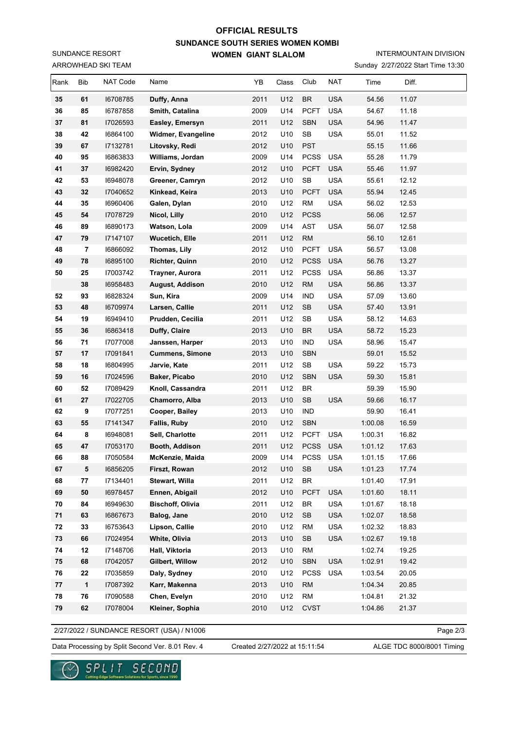### **SUNDANCE SOUTH SERIES WOMEN KOMBI WOMEN GIANT SLALOM OFFICIAL RESULTS**

ARROWHEAD SKI TEAM SUNDANCE RESORT

## INTERMOUNTAIN DIVISION

Sunday 2/27/2022 Start Time 13:30

| Rank       | Bib                     | NAT Code             | Name                              | YB           | Class      | Club                       | NAT                      | Time               | Diff.          |  |
|------------|-------------------------|----------------------|-----------------------------------|--------------|------------|----------------------------|--------------------------|--------------------|----------------|--|
| 35         | 61                      | 16708785             | Duffy, Anna                       | 2011         | U12        | <b>BR</b>                  | <b>USA</b>               | 54.56              | 11.07          |  |
| 36         | 85                      | 16787858             | Smith, Catalina                   | 2009         | U14        | <b>PCFT</b>                | <b>USA</b>               | 54.67              | 11.18          |  |
| 37         | 81                      | 17026593             | Easley, Emersyn                   | 2011         | U12        | SBN                        | <b>USA</b>               | 54.96              | 11.47          |  |
| 38         | 42                      | 16864100             | Widmer, Evangeline                | 2012         | U10        | SB                         | <b>USA</b>               | 55.01              | 11.52          |  |
| 39         | 67                      | 17132781             | Litovsky, Redi                    | 2012         | U10        | <b>PST</b>                 |                          | 55.15              | 11.66          |  |
| 40         | 95                      | 16863833             | Williams, Jordan                  | 2009         | U14        | <b>PCSS</b>                | <b>USA</b>               | 55.28              | 11.79          |  |
| 41         | 37                      | 16982420             | Ervin, Sydney                     | 2012         | U10        | <b>PCFT</b>                | <b>USA</b>               | 55.46              | 11.97          |  |
| 42         | 53                      | 16948078             | Greener, Camryn                   | 2012         | U10        | SB                         | <b>USA</b>               | 55.61              | 12.12          |  |
| 43         | 32                      | 17040652             | Kinkead, Keira                    | 2013         | U10        | <b>PCFT</b>                | <b>USA</b>               | 55.94              | 12.45          |  |
| 44         | 35                      | 16960406             | Galen, Dylan                      | 2010         | U12        | <b>RM</b>                  | <b>USA</b>               | 56.02              | 12.53          |  |
| 45         | 54                      | 17078729             | Nicol, Lilly                      | 2010         | U12        | <b>PCSS</b>                |                          | 56.06              | 12.57          |  |
| 46         | 89                      | 16890173             | Watson, Lola                      | 2009         | U14        | <b>AST</b>                 | <b>USA</b>               | 56.07              | 12.58          |  |
| 47         | 79                      | 17147107             | <b>Wucetich, Elle</b>             | 2011         | U12        | <b>RM</b>                  |                          | 56.10              | 12.61          |  |
| 48         | $\overline{\mathbf{r}}$ | 16866092             | Thomas, Lily                      | 2012         | U10        | <b>PCFT</b>                | <b>USA</b>               | 56.57              | 13.08          |  |
| 49         | 78                      | 16895100             | Richter, Quinn                    | 2010         | U12        | <b>PCSS</b>                | <b>USA</b>               | 56.76              | 13.27          |  |
| 50         | 25                      | 17003742             | Trayner, Aurora                   | 2011         | U12        | <b>PCSS</b>                | <b>USA</b>               | 56.86              | 13.37          |  |
|            | 38                      | 16958483             | August, Addison                   | 2010         | U12        | RM                         | <b>USA</b>               | 56.86              | 13.37          |  |
| 52         | 93                      | 16828324             | Sun, Kira                         | 2009         | U14        | <b>IND</b>                 | <b>USA</b>               | 57.09              | 13.60          |  |
| 53         | 48                      | 16709974             | Larsen, Callie                    | 2011         | U12        | <b>SB</b>                  | <b>USA</b>               | 57.40              | 13.91          |  |
| 54         | 19                      | 16949410             | Prudden, Cecilia                  | 2011         | U12        | <b>SB</b>                  | <b>USA</b>               | 58.12              | 14.63          |  |
| 55         | 36                      | 16863418             | Duffy, Claire                     | 2013         | U10        | <b>BR</b>                  | <b>USA</b>               | 58.72              | 15.23          |  |
| 56         | 71                      | 17077008             | Janssen, Harper                   | 2013         | U10        | <b>IND</b>                 | <b>USA</b>               | 58.96              | 15.47          |  |
| 57         | 17                      | 17091841             | <b>Cummens, Simone</b>            | 2013         | U10        | <b>SBN</b>                 |                          | 59.01              | 15.52          |  |
| 58         | 18                      | 16804995             | Jarvie, Kate                      | 2011         | U12        | ${\sf SB}$                 | <b>USA</b>               | 59.22              | 15.73          |  |
| 59         | 16                      | 17024596             | Baker, Picabo                     | 2010         | U12        | <b>SBN</b>                 | <b>USA</b>               | 59.30              | 15.81          |  |
| 60         | 52                      | 17089429             | Knoll, Cassandra                  | 2011         | U12        | BR                         |                          | 59.39              | 15.90          |  |
| 61         | 27                      | 17022705             | Chamorro, Alba                    | 2013         | U10        | SB                         | <b>USA</b>               | 59.66              | 16.17          |  |
| 62         | 9                       | 17077251             | Cooper, Bailey                    | 2013         | U10        | <b>IND</b>                 |                          | 59.90              | 16.41          |  |
| 63<br>64   | 55                      | 17141347             | Fallis, Ruby                      | 2010         | U12        | <b>SBN</b>                 |                          | 1:00.08            | 16.59          |  |
| 65         | 8<br>47                 | 16948081<br>17053170 | Sell, Charlotte<br>Booth, Addison | 2011<br>2011 | U12<br>U12 | <b>PCFT</b><br><b>PCSS</b> | <b>USA</b><br><b>USA</b> | 1:00.31<br>1:01.12 | 16.82<br>17.63 |  |
| 66         | 88                      | 17050584             |                                   | 2009         | U14        | PCSS USA                   |                          | 1:01.15            | 17.66          |  |
| 67         | 5                       | 16856205             | McKenzie, Maida<br>Firszt, Rowan  | 2012         | U10        | ${\sf SB}$                 | <b>USA</b>               | 1:01.23            | 17.74          |  |
| 68         | 77                      | 17134401             | Stewart, Willa                    | 2011         | U12        | BR                         |                          | 1:01.40            | 17.91          |  |
| 69         | 50                      | 16978457             | Ennen, Abigail                    | 2012         | U10        | <b>PCFT</b>                | <b>USA</b>               | 1:01.60            | 18.11          |  |
| 70         | 84                      | 16949630             | <b>Bischoff, Olivia</b>           | 2011         | U12        | BR                         | <b>USA</b>               | 1:01.67            | 18.18          |  |
| 71         | 63                      | 16867673             | Balog, Jane                       | 2010         | U12        | SB                         | <b>USA</b>               | 1:02.07            | 18.58          |  |
| 72         | 33                      | 16753643             | Lipson, Callie                    | 2010         | U12        | <b>RM</b>                  | <b>USA</b>               | 1:02.32            | 18.83          |  |
| 73         | 66                      | 17024954             | White, Olivia                     | 2013         | U10        | SB                         | <b>USA</b>               | 1:02.67            | 19.18          |  |
| 74         | 12                      | 17148706             | Hall, Viktoria                    | 2013         | U10        | <b>RM</b>                  |                          | 1:02.74            | 19.25          |  |
| 75         | 68                      | 17042057             | Gilbert, Willow                   | 2012         | U10        | <b>SBN</b>                 | <b>USA</b>               | 1:02.91            | 19.42          |  |
| 76         | 22                      | 17035859             | Daly, Sydney                      | 2010         | U12        | <b>PCSS</b>                | <b>USA</b>               | 1:03.54            | 20.05          |  |
| 77         | 1                       | 17087392             | Karr, Makenna                     | 2013         | U10        | $\mathsf{RM}$              |                          | 1:04.34            | 20.85          |  |
| 78         | 76                      | 17090588             | Chen, Evelyn                      | 2010         | U12        | <b>RM</b>                  |                          | 1:04.81            | 21.32          |  |
| ${\bf 79}$ | 62                      | 17078004             | Kleiner, Sophia                   | 2010         | U12        | <b>CVST</b>                |                          | 1:04.86            | 21.37          |  |
|            |                         |                      |                                   |              |            |                            |                          |                    |                |  |

2/27/2022 / SUNDANCE RESORT (USA) / N1006

Page 2/3

Data Processing by Split Second Ver. 8.01 Rev. 4 Created 2/27/2022 at 15:11:54 ALGE TDC 8000/8001 Timing

Created 2/27/2022 at 15:11:54